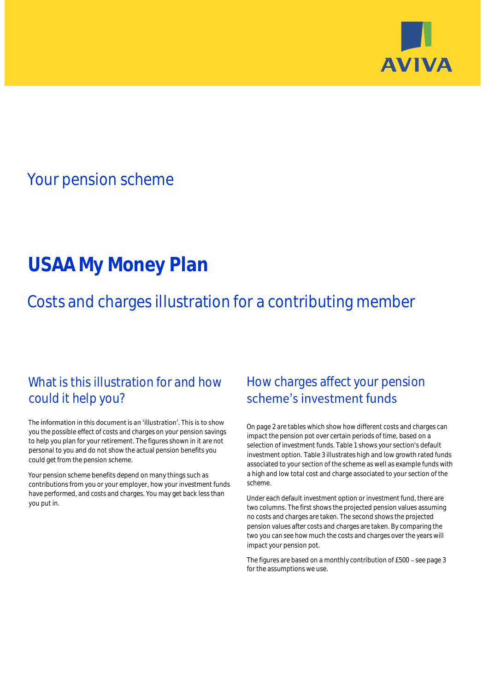

## Your pension scheme

# **USAA My Money Plan**

Costs and charges illustration for a contributing member

### What is this illustration for and how could it help you?

#### The information in this document is an 'illustration'. This is to show you the possible effect of costs and charges on your pension savings to help you plan for your retirement. The figures shown in it are not personal to you and do not show the actual pension benefits you could get from the pension scheme.

Your pension scheme benefits depend on many things such as contributions from you or your employer, how your investment funds have performed, and costs and charges. You may get back less than you put in.

### How charges affect your pension scheme's investment funds

On page 2 are tables which show how different costs and charges can impact the pension pot over certain periods of time, based on a selection of investment funds. Table 1 shows your section's default investment option. Table 3 illustrates high and low growth rated funds associated to your section of the scheme as well as example funds with a high and low total cost and charge associated to your section of the scheme.

Under each default investment option or investment fund, there are two columns. The first shows the projected pension values assuming no costs and charges are taken. The second shows the projected pension values after costs and charges are taken. By comparing the two you can see how much the costs and charges over the years will impact your pension pot.

The figures are based on a monthly contribution of £500 - see page 3 for the assumptions we use.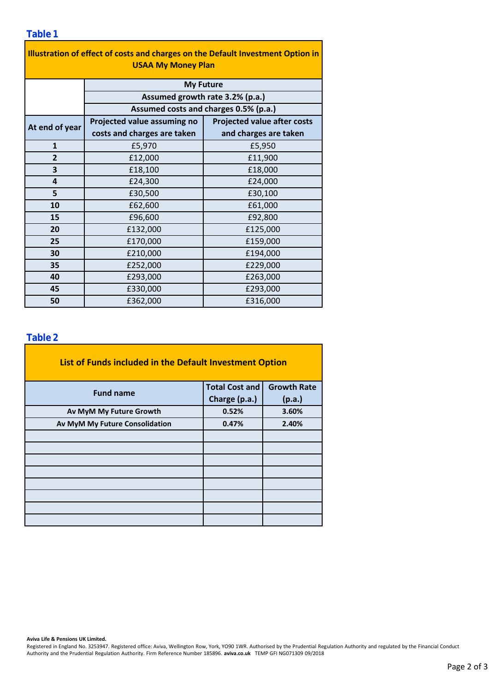| Illustration of effect of costs and charges on the Default Investment Option in<br><b>USAA My Money Plan</b> |                                                                          |                                    |  |  |  |  |
|--------------------------------------------------------------------------------------------------------------|--------------------------------------------------------------------------|------------------------------------|--|--|--|--|
|                                                                                                              | <b>My Future</b>                                                         |                                    |  |  |  |  |
|                                                                                                              | Assumed growth rate 3.2% (p.a.)<br>Assumed costs and charges 0.5% (p.a.) |                                    |  |  |  |  |
|                                                                                                              |                                                                          |                                    |  |  |  |  |
| At end of year                                                                                               | Projected value assuming no                                              | <b>Projected value after costs</b> |  |  |  |  |
|                                                                                                              | costs and charges are taken                                              | and charges are taken              |  |  |  |  |
| $\mathbf{1}$                                                                                                 | £5,970                                                                   | £5,950                             |  |  |  |  |
| $\overline{2}$                                                                                               | £12,000                                                                  | £11,900                            |  |  |  |  |
| 3                                                                                                            | £18,100                                                                  | £18,000                            |  |  |  |  |
| 4                                                                                                            | £24,300                                                                  | £24,000                            |  |  |  |  |
| 5                                                                                                            | £30,500                                                                  | £30,100                            |  |  |  |  |
| 10                                                                                                           | £62,600                                                                  | £61,000                            |  |  |  |  |
| 15                                                                                                           | £96,600                                                                  | £92,800                            |  |  |  |  |
| 20                                                                                                           | £132,000                                                                 | £125,000                           |  |  |  |  |
| 25                                                                                                           | £170,000                                                                 | £159,000                           |  |  |  |  |
| 30                                                                                                           | £210,000                                                                 | £194,000                           |  |  |  |  |
| 35                                                                                                           | £252,000                                                                 | £229,000                           |  |  |  |  |
| 40                                                                                                           | £293,000                                                                 | £263,000                           |  |  |  |  |
| 45                                                                                                           | £330,000                                                                 | £293,000                           |  |  |  |  |
| 50                                                                                                           | £362,000                                                                 | £316,000                           |  |  |  |  |

### **Table 2**

| List of Funds included in the Default Investment Option |                       |                    |
|---------------------------------------------------------|-----------------------|--------------------|
| <b>Fund name</b>                                        | <b>Total Cost and</b> | <b>Growth Rate</b> |
|                                                         | Charge (p.a.)         | (p.a.)             |
| Av MyM My Future Growth                                 | 0.52%                 | 3.60%              |
| Av MyM My Future Consolidation                          | 0.47%                 | 2.40%              |
|                                                         |                       |                    |
|                                                         |                       |                    |
|                                                         |                       |                    |
|                                                         |                       |                    |
|                                                         |                       |                    |
|                                                         |                       |                    |
|                                                         |                       |                    |
|                                                         |                       |                    |

#### **Aviva Life & Pensions UK Limited.**

Registered in England No. 3253947. Registered office: Aviva, Wellington Row, York, YO90 1WR. Authorised by the Prudential Regulation Authority and regulated by the Financial Conduct Authority and the Prudential Regulation Authority. Firm Reference Number 185896. **aviva.co.uk** TEMP GFI NG071309 09/2018